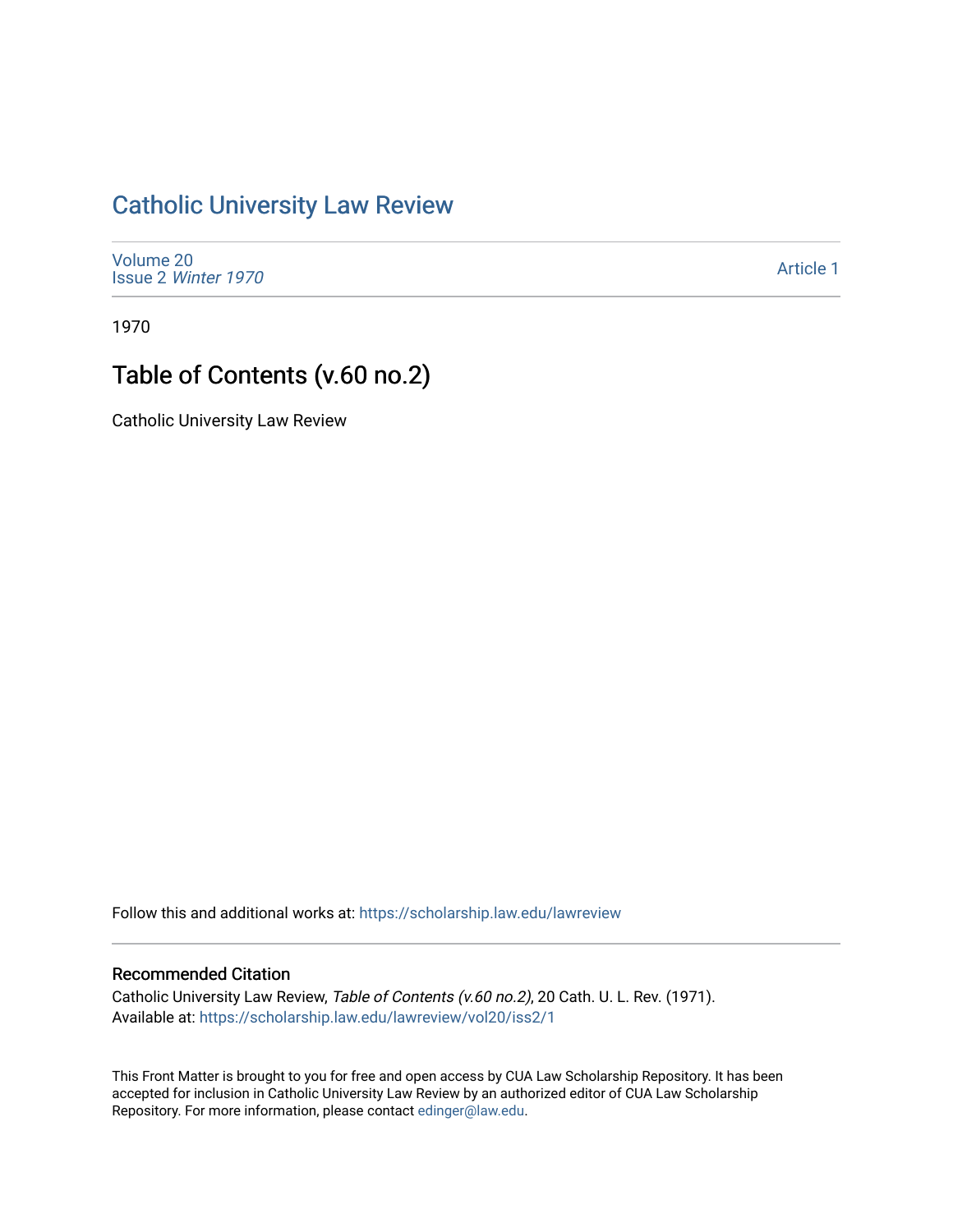## [Catholic University Law Review](https://scholarship.law.edu/lawreview)

[Volume 20](https://scholarship.law.edu/lawreview/vol20) Issue 2 [Winter 1970](https://scholarship.law.edu/lawreview/vol20/iss2) 

[Article 1](https://scholarship.law.edu/lawreview/vol20/iss2/1) 

1970

## Table of Contents (v.60 no.2)

Catholic University Law Review

Follow this and additional works at: [https://scholarship.law.edu/lawreview](https://scholarship.law.edu/lawreview?utm_source=scholarship.law.edu%2Flawreview%2Fvol20%2Fiss2%2F1&utm_medium=PDF&utm_campaign=PDFCoverPages)

## Recommended Citation

Catholic University Law Review, Table of Contents (v.60 no.2), 20 Cath. U. L. Rev. (1971). Available at: [https://scholarship.law.edu/lawreview/vol20/iss2/1](https://scholarship.law.edu/lawreview/vol20/iss2/1?utm_source=scholarship.law.edu%2Flawreview%2Fvol20%2Fiss2%2F1&utm_medium=PDF&utm_campaign=PDFCoverPages)

This Front Matter is brought to you for free and open access by CUA Law Scholarship Repository. It has been accepted for inclusion in Catholic University Law Review by an authorized editor of CUA Law Scholarship Repository. For more information, please contact [edinger@law.edu.](mailto:edinger@law.edu)